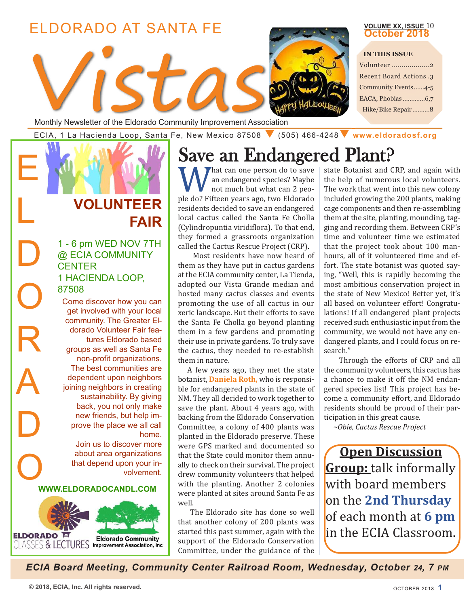## ELDORADO AT SANTA FE



### Monthly Newsletter of the Eldorado Community Improvement Association

ECIA, <sup>1</sup> La Hacienda Loop, Santa Fe, New Mexico <sup>87508</sup> q (505) 466-4248q **[www.eldoradosf.org](http://www.eldoradosf.org)**

## **VOLUNTEER FAIR**

E

L

D

O

R

A

D

CENTER 1 - 6 pm WED NOV 7TH @ ECIA COMMUNITY 1 HACIENDA LOOP, 87508

Come discover how you can get involved with your local community. The Greater Eldorado Volunteer Fair features Eldorado based groups as well as Santa Fe non-profit organizations. The best communities are dependent upon neighbors joining neighbors in creating sustainability. By giving back, you not only make new friends, but help improve the place we all call home.

Join us to discover more about area organizations that depend upon your involvement.

## O **WWW.ELDORADOCANDL.COM**



# Save an Endangered Plant?<br>
M *I* hat can one person do to save | state Botanist and C

What can one person do to save<br>
not much but what can 2 peo-<br>
ple do? Fifteen years ago, two Eldorado<br>
maximum contents and a save a proportion an endangered species? Maybe not much but what can 2 peoresidents decided to save an endangered local cactus called the Santa Fe Cholla (Cylindropuntia viridiflora). To that end, they formed a grassroots organization called the Cactus Rescue Project (CRP).

Most residents have now heard of them as they have put in cactus gardens at the ECIA community center, La Tienda, adopted our Vista Grande median and hosted many cactus classes and events promoting the use of all cactus in our xeric landscape. But their efforts to save the Santa Fe Cholla go beyond planting them in a few gardens and promoting their use in private gardens. To truly save the cactus, they needed to re-establish them in nature.

A few years ago, they met the state botanist, **Daniela Roth,** who is responsible for endangered plants in the state of NM. They all decided to work together to save the plant. About 4 years ago, with backing from the Eldorado Conservation Committee, a colony of 400 plants was planted in the Eldorado preserve. These were GPS marked and documented so that the State could monitor them annually to check on their survival. The project drew community volunteers that helped with the planting. Another 2 colonies were planted at sites around Santa Fe as well.

The Eldorado site has done so well that another colony of 200 plants was started this past summer, again with the support of the Eldorado Conservation Committee, under the guidance of the state Botanist and CRP, and again with the help of numerous local volunteers. The work that went into this new colony included growing the 200 plants, making cage components and then re-assembling them at the site, planting, mounding, tagging and recording them. Between CRP's time and volunteer time we estimated that the project took about 100 manhours, all of it volunteered time and effort. The state botanist was quoted saying, "Well, this is rapidly becoming the most ambitious conservation project in the state of New Mexico! Better yet, it's all based on volunteer effort! Congratulations! If all endangered plant projects received such enthusiastic input from the community, we would not have any endangered plants, and I could focus on research."

**VOLUME XX, ISSUE** 10 **October 2018**

Through the efforts of CRP and all the community volunteers, this cactus has a chance to make it off the NM endangered species list! This project has become a community effort, and Eldorado residents should be proud of their participation in this great cause.

*~Obie, Cactus Rescue Project*

**Open Discussion Group:** talk informally with board members on the **2nd Thursday** of each month at **6 pm** in the ECIA Classroom.

*ECIA Board Meeting, Community Center Railroad Room, Wednesday, October 24, 7 PM*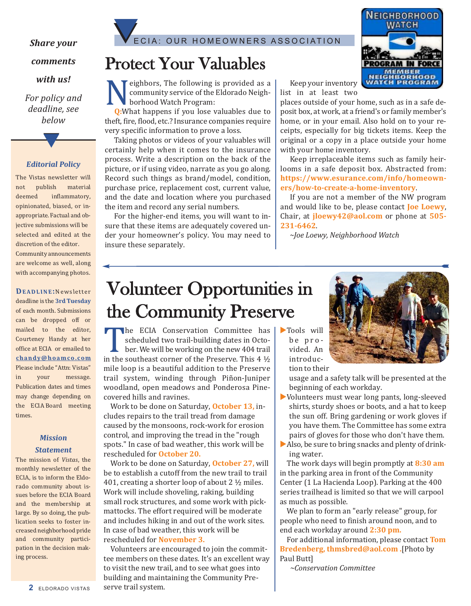### *Share your*

### *comments*

*with us!*

*For policy and deadline, see below*

### *Editorial Policy*

t

The Vistas newsletter will not publish material deemed inflammatory, opinionated, biased, or inappropriate. Factual and objective submissions will be selected and edited at the discretion of the editor. Community announcements are welcome as well, along with accompanying photos.

**DeaDL iNe:**Newsletter deadline is the **3rd Tuesday** of each month. Submissions can be dropped off or mailed to the editor, Courteney Handy at her office at ECIA or emailed to **chandy@hoamco.com** Please include "Attn: Vistas" in your message. Publication dates and times may change depending on the ECIA Board meeting times.

### *Mission*

### *Statement*

The mission of *Vistas*, the monthly newsletter of the ECIA, is to inform the Eldorado community about issues before the ECIA Board and the membership at large. By so doing, the publication seeks to foster increased neighborhood pride and community participation in the decision making process.



## Protect Your Valuables

**Neighbors, The following is provided as a<br>
community service of the Eldorado Neighborhood Watch Program:<br>
Q:What happens if you lose valuables due to** community service of the Eldorado Neighborhood Watch Program:

theft, fire, flood, etc.? Insurance companies require very specific information to prove a loss.

Taking photos or videos of your valuables will certainly help when it comes to the insurance process. Write a description on the back of the picture, or if using video, narrate as you go along. Record such things as brand/model, condition, purchase price, replacement cost, current value, and the date and location where you purchased the item and record any serial numbers.

For the higher-end items, you will want to insure that these items are adequately covered under your homeowner's policy. You may need to insure these separately.



Keep your inventory list in at least two

places outside of your home, such as in a safe deposit box, at work, at a friend's or family member's home, or in your email. Also hold on to your receipts, especially for big tickets items. Keep the original or a copy in a place outside your home with your home inventory.

Keep irreplaceable items such as family heirlooms in a safe deposit box. Abstracted from: **https://www.esurance.com/info/homeowners/how-to-create-a-home-inventory**.

If you are not a member of the NW program and would like to be, please contact **Joe Loewy**, Chair, at **jloewy42@aol.com** or phone at **505- 231-6462**.

*~Joe Loewy, Neighborhood Watch*

## Volunteer Opportunities in the Community Preserve

The ECIA Conservation Committee has<br>scheduled two trail-building dates in Octo-<br>ber. We will be working on the new 404 trail<br>in the southeast corner of the Preserve. This 4 ½<br>mile loop is a beautiful addition to the Preser scheduled two trail-building dates in October. We will be working on the new 404 trail in the southeast corner of the Preserve. This 4 ½ mile loop is a beautiful addition to the Preserve trail system, winding through Piñon-Juniper woodland, open meadows and Ponderosa Pinecovered hills and ravines.

Work to be done on Saturday, **October 13,** includes repairs to the trail tread from damage caused by the monsoons, rock-work for erosion control, and improving the tread in the "rough spots." In case of bad weather, this work will be rescheduled for **October 20.**

Work to be done on Saturday, **October 27,** will be to establish a cutoff from the new trail to trail 401, creating a shorter loop of about 2 ½ miles. Work will include shoveling, raking, building small rock structures, and some work with pickmattocks. The effort required will be moderate and includes hiking in and out of the work sites. In case of bad weather, this work will be rescheduled for **November 3.**

Volunteers are encouraged to join the committee members on these dates. It's an excellent way to visit the new trail, and to see what goes into building and maintaining the Community Preserve trail system.



 $\blacktriangleright$  Tools will be provided. An introduction to their

> usage and a safety talk will be presented at the beginning of each workday.

- $\blacktriangleright$  Volunteers must wear long pants, long-sleeved shirts, sturdy shoes or boots, and a hat to keep the sun off. Bring gardening or work gloves if you have them. The Committee has some extra pairs of gloves for those who don't have them.
- $\blacktriangleright$  Also, be sure to bring snacks and plenty of drinking water.

The work days will begin promptly at **8:30 am** in the parking area in front of the Community Center (1 La Hacienda Loop). Parking at the 400 series trailhead is limited so that we will carpool as much as possible.

We plan to form an "early release" group, for people who need to finish around noon, and to end each workday around **2:30 pm.**

For additional information, please contact **Tom Bredenberg, thmsbred@aol.com .**[Photo by Paul Butt]

*~Conservation Committee*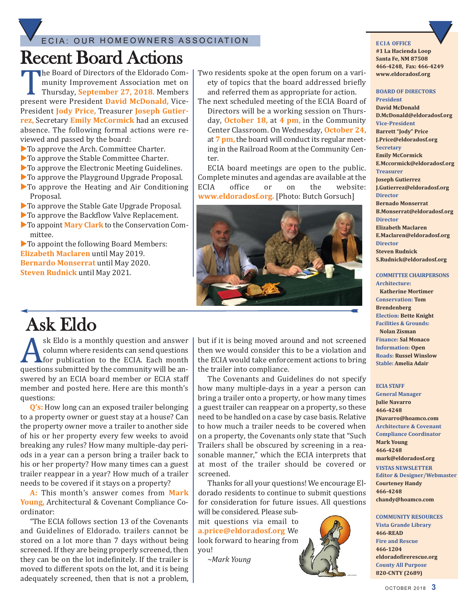### ECIA: OUR HOMEOWNERS ASSOCIATION

# Recent Board Actions

The Board of Directors of the Eldorado Com-<br>
munity Improvement Association met on<br>
Thursday, **September 27, 2018**. Members<br>
present were President **David McDonald**, Vice-<br>
President **Ledy Price**, Treasurer **Legath Cution** munity Improvement Association met on Thursday, **September 27, 2018.** Members President **Jody Price,** Treasurer **Joseph Gutierrez,** Secretary **emily McCormick** had an excused absence. The following formal actions were reviewed and passed by the board:

- $\blacktriangleright$  To approve the Arch. Committee Charter.
- $\blacktriangleright$  To approve the Stable Committee Charter.
- $\blacktriangleright$  To approve the Electronic Meeting Guidelines.
- $\blacktriangleright$  To approve the Playground Upgrade Proposal.
- $\blacktriangleright$  To approve the Heating and Air Conditioning Proposal.
- $\blacktriangleright$  To approve the Stable Gate Upgrade Proposal.
- $\blacktriangleright$  To approve the Backflow Valve Replacement.
- **To appoint Mary Clark** to the Conservation Committee.

 $\blacktriangleright$  To appoint the following Board Members: **elizabeth Maclaren** until May 2019. **Bernardo Monserrat** until May 2020. **Steven Rudnick** until May 2021.

- Two residents spoke at the open forum on a variety of topics that the board addressed briefly and referred them as appropriate for action.
- The next scheduled meeting of the ECIA Board of Directors will be a working session on Thursday, **October 18,** at **4 pm,** in the Community Center Classroom. On Wednesday, **October 24,** at **7 pm,** the board will conduct its regular meeting in the Railroad Room at the Community Cen-

ter. ECIA board meetings are open to the public. Complete minutes and agendas are available at the<br>ECIA office or on the website: ECIA office or on the website: **www.eldoradosf.org.** [Photo: Butch Gorsuch]



## Ask Eldo

Sk Eldo is a monthly question and answer<br>
for publication to the ECIA. Each month<br>
questions submitted by the community will be an-<br>
guestions submitted by the community will be an-<br>
guestions in FCIA beard member on FCIA column where residents can send questions for publication to the ECIA. Each month swered by an ECIA board member or ECIA staff member and posted here. Here are this month's questions:

**Q's:** How long can an exposed trailer belonging to a property owner or guest stay at a house? Can the property owner move a trailer to another side of his or her property every few weeks to avoid breaking any rules? How many multiple-day periods in a year can a person bring a trailer back to his or her property? How many times can a guest trailer reappear in a year? How much of a trailer needs to be covered if it stays on a property?

**a:** This month's answer comes from **Mark Young,** Architectural & Covenant Compliance Coordinator:

"The ECIA follows section 13 of the Covenants and Guidelines of Eldorado. trailers cannot be stored on a lot more than 7 days without being screened. If they are being properly screened, then they can be on the lot indefinitely. If the trailer is moved to different spots on the lot, and it is being adequately screened, then that is not a problem, but if it is being moved around and not screened then we would consider this to be a violation and the ECIA would take enforcement actions to bring the trailer into compliance.

The Covenants and Guidelines do not specify how many multiple-days in a year a person can bring a trailer onto a property, or how many times a guest trailer can reappear on a property, so these need to be handled on a case by case basis. Relative to how much a trailer needs to be covered when on a property, the Covenants only state that "Such Trailers shall be obscured by screening in a reasonable manner," which the ECIA interprets that at most of the trailer should be covered or screened.

Thanks for all your questions! We encourage Eldorado residents to continue to submit questions for consideration for future issues. All questions will be considered. Please sub-

mit questions via email to **a.price@eldoradosf.org** We look forward to hearing from you!

*~Mark Young*



### **eCia OFFiCe**

**#1 La Hacienda Loop Santa Fe, NM 87508 466-4248, Fax: 466-4249 www.eldoradosf.org**

### **BOaRD OF DiReCTORS**

**President David McDonald D.McDonald@eldoradosf.org Vice-President Barrett "Jody" Price J.Price@eldoradosf.org Secretary emily McCormick e.Mccormick@eldoradosf.org Treasurer Joseph Gutierrez J.Gutierrez@eldoradosf.org Director Bernado Monserrat B.Monserrat@eldoradosf.org Director elizabeth Maclaren e.Maclaren@eldoradosf.org Director Steven Rudnick S.Rudnick@eldoradosf.org**

#### **COMMiTTee CHaiRPeRSONS architecture:**

**Katherine Mortimer Conservation: Tom Brendenberg election: Bette Knight Facilities & Grounds: Nolan Zisman Finance: Sal Monaco information: Open Roads: Russel Winslow Stable: amelia adair**

#### **eCia STaFF**

**General Manager Julie Navarro 466-4248 JNavarro@hoamco.com architecture & Covenant Compliance Coordinator Mark Young 466-4248 mark@eldoradosf.org ViSTaS NeWSLeTTeR editor & Designer/Webmaster Courteney Handy 466-4248 chandy@hoamco.com**

**COMMUNiTY ReSOURCeS Vista Grande Library 466-ReaD Fire and Rescue 466-1204 eldoradofirerescue.org County all Purpose 820-CNTY (2689)**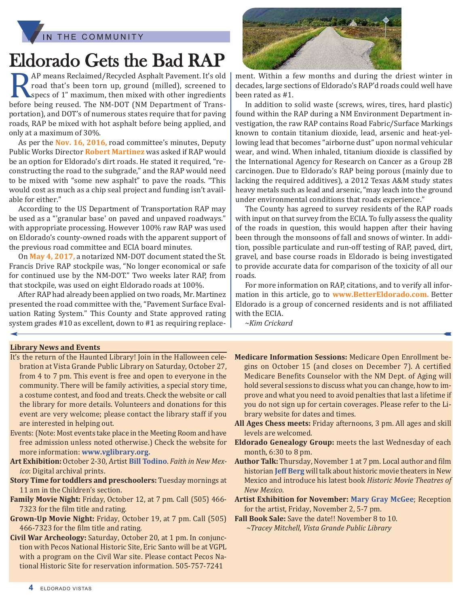

## Eldorado Gets the Bad RAP

RAP means Reclaimed/Recycled Asphalt Pavement. It's old<br>road that's been torn up, ground (milled), screened to<br>specs of 1" maximum, then mixed with other ingredients<br>before being reused. The NM-DOT (NM Department of Transroad that's been torn up, ground (milled), screened to specs of 1" maximum, then mixed with other ingredients before being reused. The NM-DOT (NM Department of Transportation), and DOT's of numerous states require that for paving roads, RAP be mixed with hot asphalt before being applied, and only at a maximum of 30%.

As per the **Nov. 16, 2016,** road committee's minutes, Deputy Public Works Director **Robert Martinez** was asked if RAP would be an option for Eldorado's dirt roads. He stated it required, "reconstructing the road to the subgrade," and the RAP would need to be mixed with "some new asphalt" to pave the roads. "This would cost as much as a chip seal project and funding isn't available for either."

According to the US Department of Transportation RAP may be used as a "'granular base' on paved and unpaved roadways." with appropriate processing. However 100% raw RAP was used on Eldorado's county-owned roads with the apparent support of the previous road committee and ECIA board minutes.

On **May 4, 2017,** a notarized NM-DOT document stated the St. Francis Drive RAP stockpile was, "No longer economical or safe for continued use by the NM-DOT." Two weeks later RAP, from that stockpile, was used on eight Eldorado roads at 100%.

After RAP had already been applied on two roads, Mr. Martinez presented the road committee with the, "Pavement Surface Evaluation Rating System." This County and State approved rating system grades #10 as excellent, down to #1 as requiring replace-



ment. Within a few months and during the driest winter in decades, large sections of Eldorado's RAP'd roads could well have been rated as #1.

In addition to solid waste (screws, wires, tires, hard plastic) found within the RAP during a NM Environment Department investigation, the raw RAP contains Road Fabric/Surface Markings known to contain titanium dioxide, lead, arsenic and heat-yellowing lead that becomes "airborne dust" upon normal vehicular wear, and wind. When inhaled, titanium dioxide is classified by the International Agency for Research on Cancer as a Group 2B carcinogen. Due to Eldorado's RAP being porous (mainly due to lacking the required additives), a 2012 Texas A&M study states heavy metals such as lead and arsenic, "may leach into the ground under environmental conditions that roads experience."

The County has agreed to survey residents of the RAP roads with input on that survey from the ECIA. To fully assess the quality of the roads in question, this would happen after their having been through the monsoons of fall and snows of winter. In addition, possible particulate and run-off testing of RAP, paved, dirt, gravel, and base course roads in Eldorado is being investigated to provide accurate data for comparison of the toxicity of all our roads.

For more information on RAP, citations, and to verify all information in this article, go to **www.Bettereldorado.com.** Better Eldorado is a group of concerned residents and is not affiliated with the ECIA.

*~Kim Crickard*

### **Library News and events**

- It's the return of the Haunted Library! Join in the Halloween celebration at Vista Grande Public Library on Saturday, October 27, from 4 to 7 pm. This event is free and open to everyone in the community. There will be family activities, a special story time, a costume contest, and food and treats. Check the website or call the library for more details. Volunteers and donations for this event are very welcome; please contact the library staff if you are interested in helping out.
- Events:(Note: Most events take place in the Meeting Room and have free admission unless noted otherwise.) Check the website for more information: **www.vglibrary.org.**
- **art exhibition:** October 2-30, Artist **Bill Todino**. *Faith in New Mexico*: Digital archival prints.
- **Story Time for toddlers and preschoolers:** Tuesday mornings at 11 am in the Children's section.
- **Family Movie Night:** Friday, October 12, at 7 pm. Call (505) 466- 7323 for the film title and rating.
- **Grown-Up Movie Night:** Friday, October 19, at 7 pm. Call (505) 466-7323 for the film title and rating.
- **Civil War archeology:** Saturday, October 20, at 1 pm. In conjunction with Pecos National Historic Site, Eric Santo will be at VGPL with a program on the Civil War site. Please contact Pecos National Historic Site for reservation information. 505-757-7241
- **Medicare information Sessions:** Medicare Open Enrollment begins on October 15 (and closes on December 7). A certified Medicare Benefits Counselor with the NM Dept. of Aging will hold several sessions to discuss what you can change, how to improve and what you need to avoid penalties that last a lifetime if you do not sign up for certain coverages. Please refer to the Library website for dates and times.
- **all ages Chess meets:** Friday afternoons, 3 pm. All ages and skill levels are welcomed.
- **eldorado Genealogy Group:** meets the last Wednesday of each month, 6:30 to 8 pm.
- **author Talk:** Thursday, November 1 at 7 pm. Local author and film historian **Jeff Berg** will talk about historic movie theaters in New Mexico and introduce his latest book *Historic Movie Theatres of New Mexico.*
- **artist exhibition for November: Mary Gray McGee**; Reception for the artist, Friday, November 2, 5-7 pm.
- **Fall Book Sale:** Save the date!! November 8 to 10. *~Tracey Mitchell*, *Vista Grande Public Library*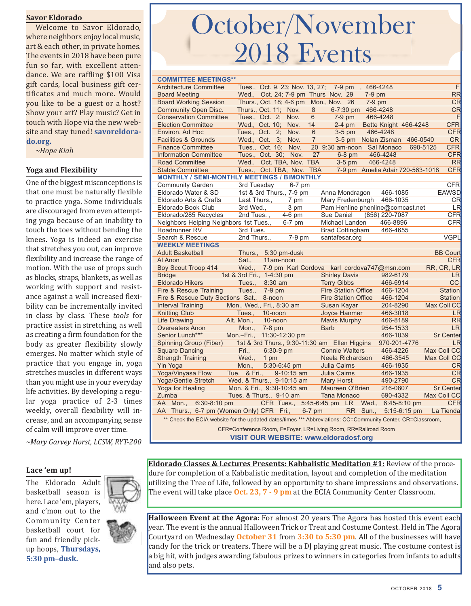### **Savor eldorado**

Welcome to Savor Eldorado, where neighbors enjoy local music, art & each other, in private homes. The events in 2018 have been pure fun so far, with excellent attendance. We are raffling \$100 Visa gift cards, local business gift certificates and much more. Would you like to be a guest or a host? Show your art? Play music? Get in touch with Hope via the new website and stay tuned! **savoreldorado.org.**

*~Hope Kiah*

### **Yoga and Flexibility**

One of the biggest misconceptions is that one must be naturally flexible to practice yoga. Some individuals are discouraged from even attempting yoga because of an inability to touch the toes without bending the knees. Yoga is indeed an exercise that stretches you out, can improve flexibility and increase the range of motion. With the use of props such as blocks, straps, blankets, as well as working with support and resistance against a wall increased flexibility can be incrementally invited in class by class. These *tools* for practice assist in stretching, as well as creating a firm foundation for the body as greater flexibility slowly emerges. No matter which style of practice that you engage in, yoga stretches muscles in different ways than you might use in your everyday life activities. By developing a regular yoga practice of 2-3 times weekly, overall flexibility will increase, and an accompanying sense of calm will improve over time.

*~Mary Garvey Horst, LCSW, RYT-200*

### **Lace 'em up!**

The Eldorado Adult basketball season is here. Lace 'em, players, and c'mon out to the Community\_Center basketball court for fun and friendly pickup hoops, **Thursdays, 5:30 pm–dusk.**



# October/November 2018 Events

| <b>COMMITTEE MEETINGS**</b>                                                                                 |                            |                                     |                |                                               |          |                                  |                        |
|-------------------------------------------------------------------------------------------------------------|----------------------------|-------------------------------------|----------------|-----------------------------------------------|----------|----------------------------------|------------------------|
| <b>Architecture Committee</b>                                                                               |                            | Tues., Oct. 9, 23; Nov. 13, 27;     |                | $7-9$ pm                                      | 466-4248 |                                  | $\overline{F}$         |
| <b>Board Meeting</b>                                                                                        |                            | Wed., Oct. 24; 7-9 pm Thurs Nov. 29 |                |                                               | $7-9$ pm |                                  | <b>RR</b>              |
| <b>Board Working Session</b>                                                                                |                            | Thurs., Oct. 18; 4-6 pm Mon., Nov.  |                | 26                                            | $7-9$ pm |                                  | <b>CR</b>              |
| <b>Community Open Disc.</b>                                                                                 |                            | Thurs., Oct. 11; Nov.               | 8              | 6-7:30 pm                                     | 466-4248 |                                  | <b>CR</b>              |
| <b>Conservation Committee</b>                                                                               |                            | Tues., Oct. 2; Nov.                 | 6              | $7-9$ pm                                      | 466-4248 |                                  | F                      |
| <b>Election Committee</b>                                                                                   | Wed., Oct. 10;             | Nov.                                | 14             | $2-4$ pm                                      |          | Bette Knight 466-4248            | <b>CFR</b>             |
| Environ. Ad Hoc                                                                                             |                            | Tues., Oct. 2; Nov.                 | 6              | $3-5$ pm                                      |          | 466-4248                         | <b>CFR</b>             |
| <b>Facilities &amp; Grounds</b>                                                                             | Wed., Oct.                 | 3;<br>Nov.                          | $\overline{7}$ | $3-5$ pm                                      |          | Nolan Zisman<br>466-0540         | CR                     |
| <b>Finance Committee</b>                                                                                    |                            | Tues., Oct. 16; Nov.                |                | 20 9:30 am-noon Sal Monaco                    |          |                                  | <b>CFR</b><br>690-5125 |
| <b>Information Committee</b>                                                                                |                            | Tues Oct. 30: Nov.                  | 27             | $6-8$ pm                                      |          | 466-4248                         | <b>CFR</b>             |
| <b>Road Committee</b>                                                                                       |                            | Wed., Oct. TBA, Nov. TBA            |                | $3-5$ pm                                      |          | 466-4248                         | <b>RR</b>              |
| <b>Stable Committee</b>                                                                                     |                            | Tues., Oct. TBA, Nov. TBA           |                |                                               |          | 7-9 pm Amelia Adair 720-563-1018 | <b>CFR</b>             |
| <b>MONTHLY / SEMI-MONTHLY MEETINGS / BIMONTHLY</b>                                                          |                            |                                     |                |                                               |          |                                  |                        |
| <b>Community Garden</b>                                                                                     | 3rd Tuesday                | $6-7$ pm                            |                |                                               |          |                                  | <b>CFR</b>             |
| Eldorado Water & SD                                                                                         |                            | 1st & 3rd Thurs., 7-9 pm            |                | Anna Mondragon                                |          | 466-1085                         | <b>EAWSD</b>           |
| Eldorado Arts & Crafts                                                                                      | Last Thurs.,               | 7 pm                                |                | Mary Fredenburgh                              |          | 466-1035                         | <b>CR</b>              |
| Eldorado Book Club                                                                                          | 3rd Wed.,                  | 3 pm                                |                |                                               |          | Pam Henline phenline@comcast.net | LR                     |
| Eldorado/285 Recycles                                                                                       | 2nd Tues.,                 | $4-6$ pm                            |                | Sue Daniel                                    |          | (856) 220-7087                   | <b>CFR</b>             |
| Neighbors Helping Neighbors 1st Tues.,                                                                      |                            | $6-7$ pm                            |                | Michael Landen                                |          | 466-8896                         | <b>CFR</b>             |
| Roadrunner RV                                                                                               | 3rd Tues.                  |                                     |                | <b>Brad Cottingham</b>                        |          | 466-4655                         |                        |
| Search & Rescue                                                                                             | 2nd Thurs.,                | 7-9 pm                              |                | santafesar.org                                |          |                                  | <b>VGPL</b>            |
| <b>WEEKLY MEETINGS</b>                                                                                      |                            |                                     |                |                                               |          |                                  |                        |
| <b>Adult Basketball</b>                                                                                     | Thurs.,                    | 5:30 pm-dusk                        |                |                                               |          |                                  | <b>BB Court</b>        |
| Al Anon                                                                                                     | Sat.,                      | 11am-noon                           |                |                                               |          |                                  | <b>CFR</b>             |
| <b>Boy Scout Troop 414</b>                                                                                  | Wed.,                      |                                     |                | 7-9 pm Karl Cordova karl cordova747@msn.com   |          |                                  | RR, CR, LR             |
| <b>Bridge</b>                                                                                               | 1st & 3rd Fri., 1-4:30 pm  |                                     |                | <b>Shirley Davis</b>                          |          | 982-6179                         | <b>LR</b>              |
| <b>Eldorado Hikers</b>                                                                                      | Tues.,                     | 8:30 am                             |                | <b>Terry Gibbs</b>                            |          | 466-6914                         | CC                     |
| Fire & Rescue Training                                                                                      | Tues.,                     | 7-9 pm                              |                | <b>Fire Station Office</b>                    |          | 466-1204                         | Station                |
| Fire & Rescue Duty Sections Sat.,                                                                           |                            | 8-noon                              |                | <b>Fire Station Office</b>                    |          | 466-1204                         | Station                |
| <b>Interval Training</b>                                                                                    | Mon., Wed., Fri., 8:30 am  |                                     |                | Susan Kayar                                   |          | 204-8290                         | Max Coll CC            |
| <b>Knitting Club</b>                                                                                        | Tues.,                     | 10-noon                             |                | Joyce Hanmer                                  |          | 466-3018                         | LR                     |
| <b>Life Drawing</b>                                                                                         | Alt. Mon.,                 | 10-noon                             |                | <b>Mavis Murphy</b>                           |          | 466-8189                         | <b>RR</b>              |
| <b>Overeaters Anon</b>                                                                                      | Mon.,                      | 7-8 pm                              |                | <b>Barb</b>                                   |          | 954-1533                         | <b>LR</b>              |
| Senior Lunch***                                                                                             | Mon.-Fri., 11:30-12:30 pm  |                                     |                |                                               |          | 466-1039                         | <b>Sr Center</b>       |
| Spinning Group (Fiber)                                                                                      |                            |                                     |                | 1st & 3rd Thurs., 9:30-11:30 am Ellen Higgins |          | 970-201-4776                     | LR                     |
| <b>Square Dancing</b>                                                                                       | Fri.,                      | $6:30-9$ pm                         |                | <b>Connie Walters</b>                         |          | 466-4226                         | Max Coll CC            |
| <b>Strength Training</b>                                                                                    | Wed.,                      | 1 pm                                |                | Neela Richardson                              |          | 466-3545                         | Max Coll CC            |
| Yin Yoga                                                                                                    | Mon.,                      | 5:30-6:45 pm                        |                | Julia Cairns                                  |          | 466-1935                         | CR                     |
| Yoga/Vinyasa Flow                                                                                           | Tue. & Fri.,               | $9-10:15$ am                        |                | Julia Cairns                                  |          | 466-1935                         | CR                     |
| <b>Yoga/Gentle Stretch</b>                                                                                  | Wed. & Thurs., 9-10:15 am  |                                     |                | <b>Mary Horst</b>                             |          | 490-2790                         | <b>CR</b>              |
| Yoga for Healing                                                                                            | Mon. & Fri., 9:30-10:45 am |                                     |                | Maureen O'Brien                               |          | 216-0807                         | <b>Sr Center</b>       |
| Zumba                                                                                                       | Tues. & Thurs., 9-10 am    |                                     |                | <b>Tana Monaco</b>                            |          | 690-4332                         | Max Coll CC            |
| AA Mon.,<br>$6:30-8:10$ pm                                                                                  |                            |                                     |                | CFR Tues., 5:45-6:45 pm LR Wed.,              |          | $6:45-8:10$ pm                   | <b>CFR</b>             |
| AA Thurs., 6-7 pm (Women Only) CFR Fri., 6-7 pm                                                             |                            |                                     |                |                                               | RR Sun., | $5:15-6:15$ pm                   | La Tienda              |
| ** Check the ECIA website for the updated dates/times *** Abbreviations: CC=Community Center, CR=Classroom, |                            |                                     |                |                                               |          |                                  |                        |
| CFR=Conference Room, F=Foyer, LR=Living Room, RR=Railroad Room                                              |                            |                                     |                |                                               |          |                                  |                        |
|                                                                                                             |                            |                                     |                |                                               |          |                                  |                        |

**VISIT OUR WEBSITE: [www.eldoradosf.org](http://www.eldoradosf.org)**

**eldorado Classes & Lectures Presents: Kabbalistic Meditation #1:** Review of the procedure for completion of a Kabbalistic meditation, layout and completion of the meditation utilizing the Tree of Life, followed by an opportunity to share impressions and observations. The event will take place **Oct. 23, 7 - 9 pm** at the ECIA Community Center Classroom.

**Halloween event at the agora:** For almost 20 years The Agora has hosted this event each year. The event is the annual Halloween Trick or Treat and Costume Contest. Held in The Agora Courtyard on Wednesday **October 31** from **3:30 to 5:30 pm**. All of the businesses will have candy for the trick or treaters. There will be a DJ playing great music. The costume contest is a big hit, with judges awarding fabulous prizes to winners in categories from infants to adults and also pets.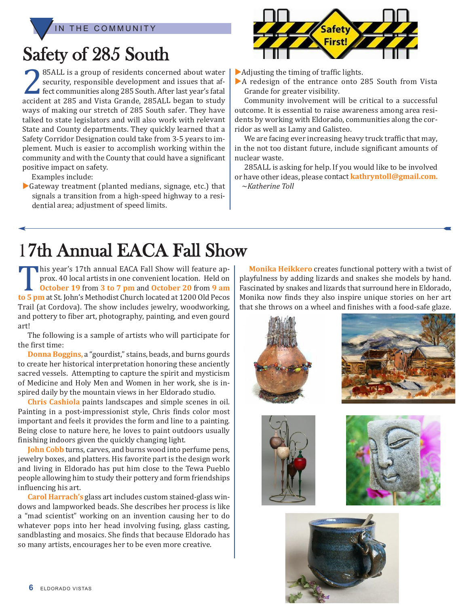THE COMMUNITY

## Safety of 285 South

285ALL is a group of residents concerned about water<br>security, responsible development and issues that af-<br>fect communities along 285 South. After last year's fatal security, responsible development and issues that afaccident at 285 and Vista Grande, 285ALL began to study ways of making our stretch of 285 South safer. They have talked to state legislators and will also work with relevant State and County departments. They quickly learned that <sup>a</sup> Safety Corridor Designation could take from 3-5 years to implement. Much is easier to accomplish working within the community and with the County that could have <sup>a</sup> significant positive impact on safety.

Examples include:

 $\blacktriangleright$  Gateway treatment (planted medians, signage, etc.) that signals <sup>a</sup> transition from <sup>a</sup> high-speed highway to <sup>a</sup> residential area; adjustment of speed limits.



 $\blacktriangleright$  Adjusting the timing of traffic lights.

 $\blacktriangleright$  A redesign of the entrance onto 285 South from Vista Grande for greater visibility.

Community involvement will be critical to <sup>a</sup> successful outcome. It is essential to raise awareness among area residents by working with Eldorado, communities along the corridor as well as Lamy and Galisteo.

We are facing ever increasing heavy truck traffic that may, in the not too distant future, include significant amounts of nuclear waste.

285ALL is asking for help. If you would like to be involved or have other ideas, please contact **kathryntoll@gmail.com.** <sup>~</sup>*Katherine Toll*

## 17th Annual EACA Fall Show

This year's 17th annual EACA Fall Show will feature approx. 40 local artists in one convenient location. Held on<br> **October 19** from **3 to 7 pm** and **October 20** from **9 am**<br> **to 5 pm** at St. John's Methodist Church located prox. 40 local artists in one convenient location. Held on **October 19** from **3 to 7 pm** and **October 20** from **9 am to 5 pm** at St. John's Methodist Church located at 1200 Old Pecos Trail (at Cordova). The show includes jewelry, woodworking, and pottery to fiber art, photography, painting, and even gourd art!

The following is a sample of artists who will participate for the first time:

**Donna Boggins,** a "gourdist," stains, beads, and burns gourds to create her historical interpretation honoring these anciently sacred vessels. Attempting to capture the spirit and mysticism of Medicine and Holy Men and Women in her work, she is inspired daily by the mountain views in her Eldorado studio.

**Chris Cashiola** paints landscapes and simple scenes in oil. Painting in a post-impressionist style, Chris finds color most important and feels it provides the form and line to a painting. Being close to nature here, he loves to paint outdoors usually finishing indoors given the quickly changing light.

**John Cobb** turns, carves, and burns wood into perfume pens, jewelry boxes, and platters. His favorite part is the design work and living in Eldorado has put him close to the Tewa Pueblo people allowing him to study their pottery and form friendships influencing his art.

**Carol Harrach's** glass art includes custom stained-glass windows and lampworked beads. She describes her process is like a "mad scientist" working on an invention causing her to do whatever pops into her head involving fusing, glass casting, sandblasting and mosaics. She finds that because Eldorado has so many artists, encourages her to be even more creative.

**Monika Heikkero** creates functional pottery with a twist of playfulness by adding lizards and snakes she models by hand. Fascinated by snakes and lizards that surround here in Eldorado, Monika now finds they also inspire unique stories on her art that she throws on a wheel and finishes with a food-safe glaze.









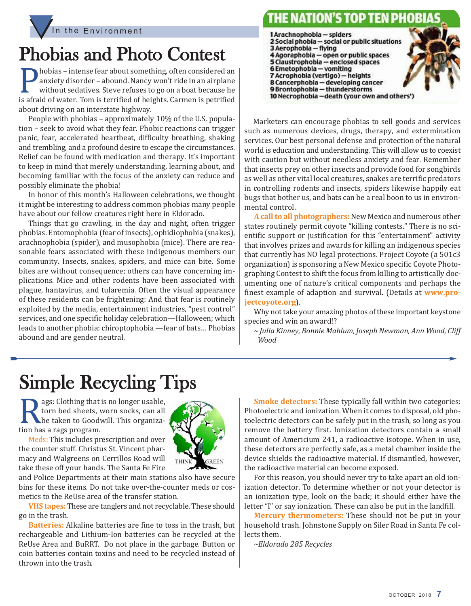



## Phobias and Photo Contest

hobias – intense fear about something, often considered an anxiety disorder – abound. Nancy won't ride in an airplane without sedatives. Steve refuses to go on a boat because he is afraid of water. Tom is terrified of heig anxiety disorder – abound. Nancy won't ride in an airplane without sedatives. Steve refuses to go on a boat because he about driving on an interstate highway.

People with phobias – approximately 10% of the U.S. population – seek to avoid what they fear. Phobic reactions can trigger panic, fear, accelerated heartbeat, difficulty breathing, shaking and trembling, and a profound desire to escape the circumstances. Relief can be found with medication and therapy. It's important to keep in mind that merely understanding, learning about, and becoming familiar with the focus of the anxiety can reduce and possibly eliminate the phobia!

In honor of this month's Halloween celebrations, we thought it might be interesting to address common phobias many people have about our fellow creatures right here in Eldorado.

Things that go crawling, in the day and night, often trigger phobias. Entomophobia (fear of insects), ophidiophobia (snakes), arachnophobia (spider), and musophobia (mice). There are reasonable fears associated with these indigenous members our community. Insects, snakes, spiders, and mice can bite. Some bites are without consequence; others can have concerning implications. Mice and other rodents have been associated with plague, hantavirus, and tularemia. Often the visual appearance of these residents can be frightening: And that fear is routinely exploited by the media, entertainment industries, "pest control" services, and one specific holiday celebration—Halloween; which leads to another phobia: chiroptophobia —fear of bats… Phobias abound and are gender neutral.



Marketers can encourage phobias to sell goods and services such as numerous devices, drugs, therapy, and extermination services. Our best personal defense and protection of the natural world is education and understanding. This will allow us to coexist with caution but without needless anxiety and fear. Remember that insects prey on other insects and provide food for songbirds as well as other vital local creatures, snakes are terrific predators in controlling rodents and insects, spiders likewise happily eat bugs that bother us, and bats can be a real boon to us in environmental control.

A call to all photographers: New Mexico and numerous other states routinely permit coyote "killing contests." There is no scientific support or justification for this "entertainment" activity that involves prizes and awards for killing an indigenous species that currently has NO legal protections. Project Coyote (a 501c3 organization) is sponsoring a New Mexico specific Coyote Photographing Contest to shift the focus from killing to artistically documenting one of nature's critical components and perhaps the finest example of adaption and survival. (Details at **www.projectcoyote.org**).

Why not take your amazing photos of these important keystone species and win an award!?

*~ Julia Kinney, Bonnie Mahlum, Joseph Newman, Ann Wood, Cliff Wood*

## Simple Recycling Tips

Rags: Clothing that is no longer usable,<br>torn bed sheets, worn socks, can all<br>be taken to Goodwill. This organiza-<br>tion has a rags program. torn bed sheets, worn socks, can all be taken to Goodwill. This organization has a rags program.

Meds: This includes prescription and over the counter stuff. Christus St. Vincent pharmacy and Walgreens on Cerrillos Road will take these off your hands. The Santa Fe Fire



and Police Departments at their main stations also have secure bins for these items. Do not take over-the-counter meds or cosmetics to the ReUse area of the transfer station.

**VHS tapes:** These are tanglers and not recyclable. These should go in the trash.

**Batteries:** Alkaline batteries are fine to toss in the trash, but rechargeable and Lithium-Ion batteries can be recycled at the ReUse Area and BuRRT. Do not place in the garbage. Button or coin batteries contain toxins and need to be recycled instead of thrown into the trash.

**Smoke detectors:** These typically fall within two categories: Photoelectric and ionization. When it comes to disposal, old photoelectric detectors can be safely put in the trash, so long as you remove the battery first. Ionization detectors contain a small amount of Americium 241, a radioactive isotope. When in use, these detectors are perfectly safe, as a metal chamber inside the device shields the radioactive material. If dismantled, however, the radioactive material can become exposed.

For this reason, you should never try to take apart an old ionization detector. To determine whether or not your detector is an ionization type, look on the back; it should either have the letter "I" or say ionization. These can also be put in the landfill.

**Mercury thermometers:** These should not be put in your household trash. Johnstone Supply on Siler Road in Santa Fe collects them.

*~Eldorado 285 Recycles*